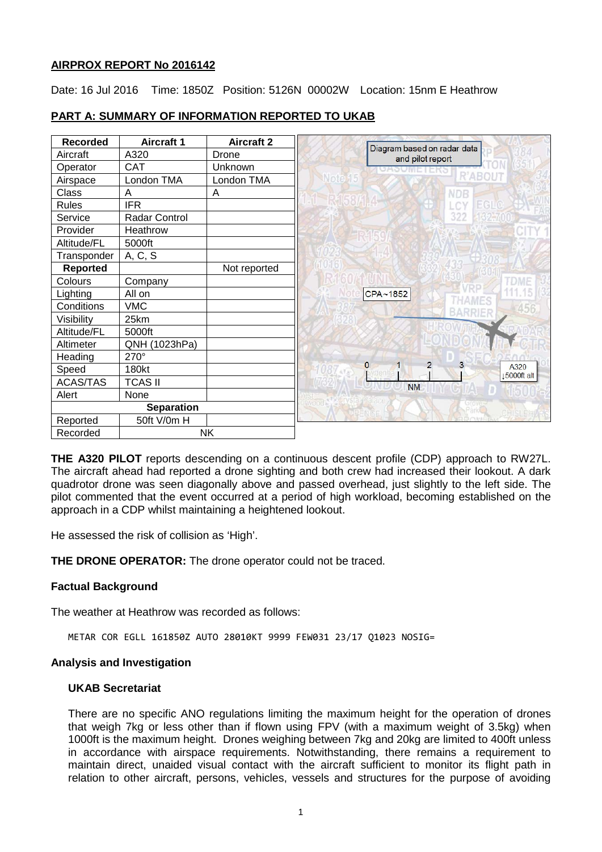### **AIRPROX REPORT No 2016142**

Date: 16 Jul 2016 Time: 1850Z Position: 5126N 00002W Location: 15nm E Heathrow

| <b>Recorded</b> | <b>Aircraft 1</b> | <b>Aircraft 2</b> |
|-----------------|-------------------|-------------------|
| Aircraft        | A320              | Drone             |
| Operator        | CAT               | Unknown           |
| Airspace        | London TMA        | London TMA        |
| Class           | Α                 | Α                 |
| <b>Rules</b>    | <b>IFR</b>        |                   |
| Service         | Radar Control     |                   |
| Provider        | Heathrow          |                   |
| Altitude/FL     | 5000ft            |                   |
| Transponder     | A, C, S           |                   |
| <b>Reported</b> |                   | Not reported      |
| Colours         | Company           |                   |
| Lighting        | All on            |                   |
| Conditions      | <b>VMC</b>        |                   |
| Visibility      | 25km              |                   |
| Altitude/FL     | 5000ft            |                   |
| Altimeter       | QNH (1023hPa)     |                   |
| Heading         | 270°              |                   |
| Speed           | 180kt             |                   |
| <b>ACAS/TAS</b> | <b>TCAS II</b>    |                   |
| Alert           | None              |                   |
|                 | <b>Separation</b> |                   |
| Reported        | 50ft V/0m H       |                   |
| Recorded        |                   | <b>NK</b>         |

# **PART A: SUMMARY OF INFORMATION REPORTED TO UKAB**

**THE A320 PILOT** reports descending on a continuous descent profile (CDP) approach to RW27L. The aircraft ahead had reported a drone sighting and both crew had increased their lookout. A dark quadrotor drone was seen diagonally above and passed overhead, just slightly to the left side. The pilot commented that the event occurred at a period of high workload, becoming established on the approach in a CDP whilst maintaining a heightened lookout.

He assessed the risk of collision as 'High'.

**THE DRONE OPERATOR:** The drone operator could not be traced.

## **Factual Background**

The weather at Heathrow was recorded as follows:

METAR COR EGLL 161850Z AUTO 28010KT 9999 FEW031 23/17 Q1023 NOSIG=

#### **Analysis and Investigation**

#### **UKAB Secretariat**

There are no specific ANO regulations limiting the maximum height for the operation of drones that weigh 7kg or less other than if flown using FPV (with a maximum weight of 3.5kg) when 1000ft is the maximum height. Drones weighing between 7kg and 20kg are limited to 400ft unless in accordance with airspace requirements. Notwithstanding, there remains a requirement to maintain direct, unaided visual contact with the aircraft sufficient to monitor its flight path in relation to other aircraft, persons, vehicles, vessels and structures for the purpose of avoiding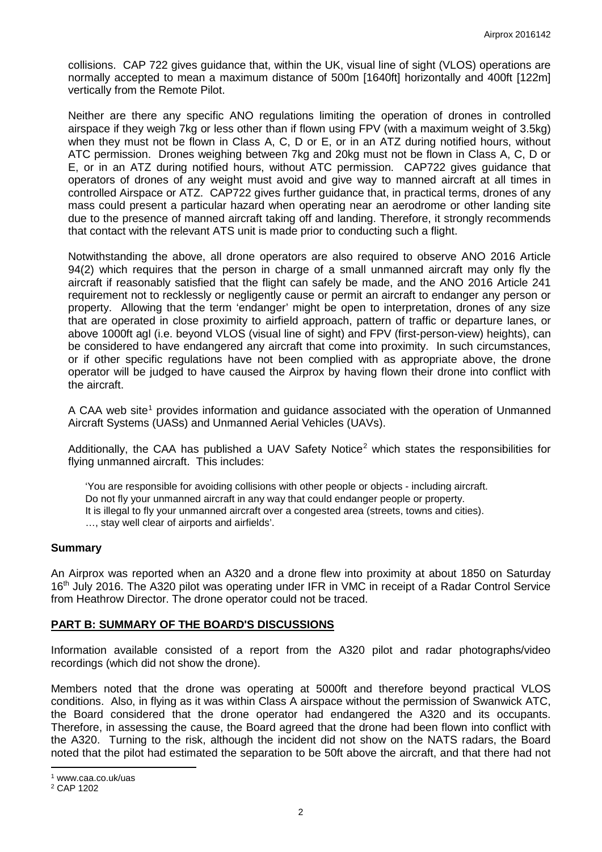collisions. CAP 722 gives guidance that, within the UK, visual line of sight (VLOS) operations are normally accepted to mean a maximum distance of 500m [1640ft] horizontally and 400ft [122m] vertically from the Remote Pilot.

Neither are there any specific ANO regulations limiting the operation of drones in controlled airspace if they weigh 7kg or less other than if flown using FPV (with a maximum weight of 3.5kg) when they must not be flown in Class A, C, D or E, or in an ATZ during notified hours, without ATC permission. Drones weighing between 7kg and 20kg must not be flown in Class A, C, D or E, or in an ATZ during notified hours, without ATC permission. CAP722 gives guidance that operators of drones of any weight must avoid and give way to manned aircraft at all times in controlled Airspace or ATZ. CAP722 gives further guidance that, in practical terms, drones of any mass could present a particular hazard when operating near an aerodrome or other landing site due to the presence of manned aircraft taking off and landing. Therefore, it strongly recommends that contact with the relevant ATS unit is made prior to conducting such a flight.

Notwithstanding the above, all drone operators are also required to observe ANO 2016 Article 94(2) which requires that the person in charge of a small unmanned aircraft may only fly the aircraft if reasonably satisfied that the flight can safely be made, and the ANO 2016 Article 241 requirement not to recklessly or negligently cause or permit an aircraft to endanger any person or property. Allowing that the term 'endanger' might be open to interpretation, drones of any size that are operated in close proximity to airfield approach, pattern of traffic or departure lanes, or above 1000ft agl (i.e. beyond VLOS (visual line of sight) and FPV (first-person-view) heights), can be considered to have endangered any aircraft that come into proximity. In such circumstances, or if other specific regulations have not been complied with as appropriate above, the drone operator will be judged to have caused the Airprox by having flown their drone into conflict with the aircraft.

A CAA web site<sup>[1](#page-1-0)</sup> provides information and guidance associated with the operation of Unmanned Aircraft Systems (UASs) and Unmanned Aerial Vehicles (UAVs).

Additionally, the CAA has published a UAV Safety Notice<sup>[2](#page-1-1)</sup> which states the responsibilities for flying unmanned aircraft. This includes:

'You are responsible for avoiding collisions with other people or objects - including aircraft. Do not fly your unmanned aircraft in any way that could endanger people or property. It is illegal to fly your unmanned aircraft over a congested area (streets, towns and cities). …, stay well clear of airports and airfields'.

#### **Summary**

An Airprox was reported when an A320 and a drone flew into proximity at about 1850 on Saturday 16<sup>th</sup> July 2016. The A320 pilot was operating under IFR in VMC in receipt of a Radar Control Service from Heathrow Director. The drone operator could not be traced.

## **PART B: SUMMARY OF THE BOARD'S DISCUSSIONS**

Information available consisted of a report from the A320 pilot and radar photographs/video recordings (which did not show the drone).

Members noted that the drone was operating at 5000ft and therefore beyond practical VLOS conditions. Also, in flying as it was within Class A airspace without the permission of Swanwick ATC, the Board considered that the drone operator had endangered the A320 and its occupants. Therefore, in assessing the cause, the Board agreed that the drone had been flown into conflict with the A320. Turning to the risk, although the incident did not show on the NATS radars, the Board noted that the pilot had estimated the separation to be 50ft above the aircraft, and that there had not

l

<span id="page-1-0"></span><sup>1</sup> www.caa.co.uk/uas

<span id="page-1-1"></span><sup>2</sup> CAP 1202